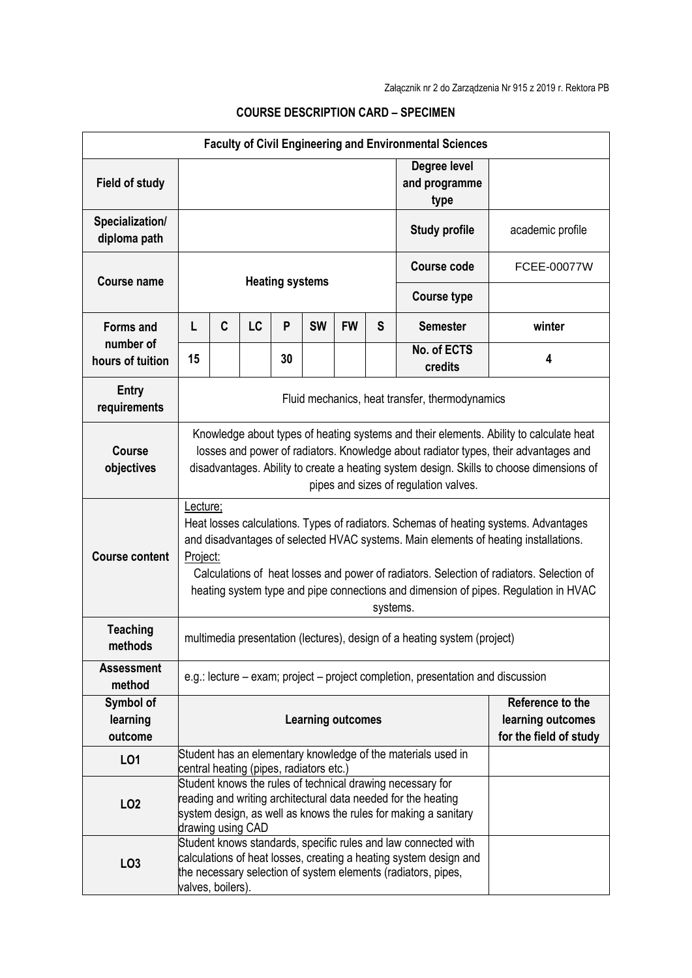| <b>Faculty of Civil Engineering and Environmental Sciences</b> |                                                                                                                                                                                                                                                                                                                                                                                                    |                                                                                                                                                                                                                     |    |    |           |           |   |                                       |                                                                 |  |
|----------------------------------------------------------------|----------------------------------------------------------------------------------------------------------------------------------------------------------------------------------------------------------------------------------------------------------------------------------------------------------------------------------------------------------------------------------------------------|---------------------------------------------------------------------------------------------------------------------------------------------------------------------------------------------------------------------|----|----|-----------|-----------|---|---------------------------------------|-----------------------------------------------------------------|--|
| <b>Field of study</b>                                          |                                                                                                                                                                                                                                                                                                                                                                                                    |                                                                                                                                                                                                                     |    |    |           |           |   | Degree level<br>and programme<br>type |                                                                 |  |
| Specialization/<br>diploma path                                |                                                                                                                                                                                                                                                                                                                                                                                                    |                                                                                                                                                                                                                     |    |    |           |           |   | <b>Study profile</b>                  | academic profile                                                |  |
| <b>Course name</b>                                             | <b>Heating systems</b>                                                                                                                                                                                                                                                                                                                                                                             |                                                                                                                                                                                                                     |    |    |           |           |   | <b>Course code</b>                    | <b>FCEE-00077W</b>                                              |  |
|                                                                |                                                                                                                                                                                                                                                                                                                                                                                                    |                                                                                                                                                                                                                     |    |    |           |           |   | <b>Course type</b>                    |                                                                 |  |
| <b>Forms and</b>                                               | L                                                                                                                                                                                                                                                                                                                                                                                                  | C                                                                                                                                                                                                                   | LC | P  | <b>SW</b> | <b>FW</b> | S | <b>Semester</b>                       | winter                                                          |  |
| number of<br>hours of tuition                                  | 15                                                                                                                                                                                                                                                                                                                                                                                                 |                                                                                                                                                                                                                     |    | 30 |           |           |   | No. of ECTS<br>credits                | 4                                                               |  |
| <b>Entry</b><br>requirements                                   | Fluid mechanics, heat transfer, thermodynamics                                                                                                                                                                                                                                                                                                                                                     |                                                                                                                                                                                                                     |    |    |           |           |   |                                       |                                                                 |  |
| <b>Course</b><br>objectives                                    | Knowledge about types of heating systems and their elements. Ability to calculate heat<br>losses and power of radiators. Knowledge about radiator types, their advantages and<br>disadvantages. Ability to create a heating system design. Skills to choose dimensions of<br>pipes and sizes of regulation valves.                                                                                 |                                                                                                                                                                                                                     |    |    |           |           |   |                                       |                                                                 |  |
| <b>Course content</b>                                          | Lecture;<br>Heat losses calculations. Types of radiators. Schemas of heating systems. Advantages<br>and disadvantages of selected HVAC systems. Main elements of heating installations.<br>Project:<br>Calculations of heat losses and power of radiators. Selection of radiators. Selection of<br>heating system type and pipe connections and dimension of pipes. Regulation in HVAC<br>systems. |                                                                                                                                                                                                                     |    |    |           |           |   |                                       |                                                                 |  |
| <b>Teaching</b><br>methods                                     | multimedia presentation (lectures), design of a heating system (project)                                                                                                                                                                                                                                                                                                                           |                                                                                                                                                                                                                     |    |    |           |           |   |                                       |                                                                 |  |
| <b>Assessment</b><br>method                                    | e.g.: lecture – exam; project – project completion, presentation and discussion                                                                                                                                                                                                                                                                                                                    |                                                                                                                                                                                                                     |    |    |           |           |   |                                       |                                                                 |  |
| Symbol of<br>learning<br>outcome                               | <b>Learning outcomes</b>                                                                                                                                                                                                                                                                                                                                                                           |                                                                                                                                                                                                                     |    |    |           |           |   |                                       | Reference to the<br>learning outcomes<br>for the field of study |  |
| LO1                                                            |                                                                                                                                                                                                                                                                                                                                                                                                    | Student has an elementary knowledge of the materials used in<br>central heating (pipes, radiators etc.)                                                                                                             |    |    |           |           |   |                                       |                                                                 |  |
| LO <sub>2</sub>                                                |                                                                                                                                                                                                                                                                                                                                                                                                    | Student knows the rules of technical drawing necessary for<br>reading and writing architectural data needed for the heating<br>system design, as well as knows the rules for making a sanitary<br>drawing using CAD |    |    |           |           |   |                                       |                                                                 |  |
| LO <sub>3</sub>                                                | Student knows standards, specific rules and law connected with<br>calculations of heat losses, creating a heating system design and<br>the necessary selection of system elements (radiators, pipes,<br>valves, boilers).                                                                                                                                                                          |                                                                                                                                                                                                                     |    |    |           |           |   |                                       |                                                                 |  |

## **COURSE DESCRIPTION CARD – SPECIMEN**